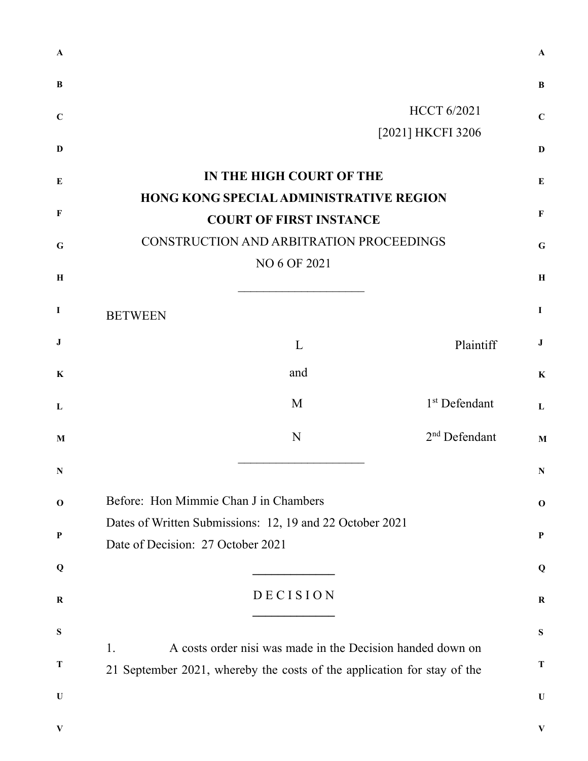| A           |                                                                                                                                             | $\mathbf{A}$ |
|-------------|---------------------------------------------------------------------------------------------------------------------------------------------|--------------|
| B           |                                                                                                                                             | B            |
| $\mathbf C$ | <b>HCCT 6/2021</b>                                                                                                                          | $\mathbf C$  |
| D           | [2021] HKCFI 3206                                                                                                                           | $\mathbf{D}$ |
| E           | IN THE HIGH COURT OF THE                                                                                                                    | E            |
|             | <b>HONG KONG SPECIAL ADMINISTRATIVE REGION</b>                                                                                              |              |
| $\mathbf F$ | <b>COURT OF FIRST INSTANCE</b>                                                                                                              | $\mathbf F$  |
| $\mathbf G$ | CONSTRUCTION AND ARBITRATION PROCEEDINGS                                                                                                    | $\mathbf G$  |
|             | NO 6 OF 2021                                                                                                                                |              |
| H           |                                                                                                                                             | $\bf H$      |
| $\bf I$     | <b>BETWEEN</b>                                                                                                                              | $\bf{I}$     |
| ${\bf J}$   | Plaintiff<br>L                                                                                                                              | J            |
| $\bf K$     | and                                                                                                                                         | $\bf K$      |
| L           | 1 <sup>st</sup> Defendant<br>M                                                                                                              | L            |
| M           | 2 <sup>nd</sup> Defendant<br>N                                                                                                              | $\mathbf{M}$ |
| N.          |                                                                                                                                             | N            |
| $\mathbf 0$ | Before: Hon Mimmie Chan J in Chambers                                                                                                       | $\mathbf 0$  |
| $\mathbf P$ | Dates of Written Submissions: 12, 19 and 22 October 2021                                                                                    | $\mathbf P$  |
|             | Date of Decision: 27 October 2021                                                                                                           |              |
| Q           |                                                                                                                                             | Q            |
| $\bf R$     | DECISION                                                                                                                                    | $\bf R$      |
| ${\bf S}$   |                                                                                                                                             | S            |
| T           | A costs order nisi was made in the Decision handed down on<br>1.<br>21 September 2021, whereby the costs of the application for stay of the | T            |
|             |                                                                                                                                             |              |
| $\mathbf U$ |                                                                                                                                             | $\mathbf U$  |
| V           |                                                                                                                                             | V            |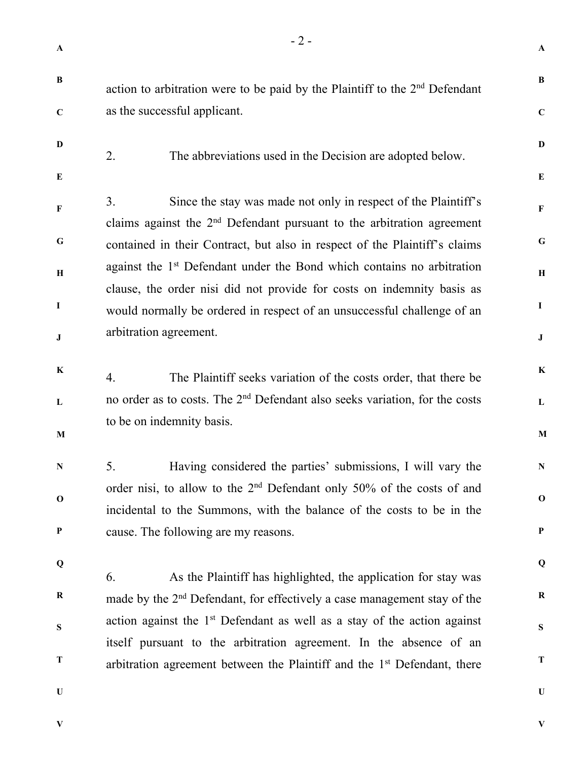**A** 

**B** 

**C** 

**D** 

**E** 

**F** 

**G** 

**H** 

**I** 

**J** 

**K** 

**L** 

**M** 

**N** 

**O** 

**P** 

**Q** 

**R** 

**S** 

**T** 

**U** 

**B C D E F G H I J K L M N O P Q R S T U**  action to arbitration were to be paid by the Plaintiff to the  $2<sup>nd</sup>$  Defendant as the successful applicant. 2. The abbreviations used in the Decision are adopted below. 3. Since the stay was made not only in respect of the Plaintiff's claims against the  $2<sup>nd</sup>$  Defendant pursuant to the arbitration agreement contained in their Contract, but also in respect of the Plaintiff's claims against the 1<sup>st</sup> Defendant under the Bond which contains no arbitration clause, the order nisi did not provide for costs on indemnity basis as would normally be ordered in respect of an unsuccessful challenge of an arbitration agreement. 4. The Plaintiff seeks variation of the costs order, that there be no order as to costs. The 2<sup>nd</sup> Defendant also seeks variation, for the costs to be on indemnity basis. 5. Having considered the parties' submissions, I will vary the order nisi, to allow to the 2nd Defendant only 50% of the costs of and incidental to the Summons, with the balance of the costs to be in the cause. The following are my reasons. 6. As the Plaintiff has highlighted, the application for stay was made by the  $2<sup>nd</sup>$  Defendant, for effectively a case management stay of the action against the  $1<sup>st</sup>$  Defendant as well as a stay of the action against itself pursuant to the arbitration agreement. In the absence of an arbitration agreement between the Plaintiff and the  $1<sup>st</sup>$  Defendant, there

**V** 

**V**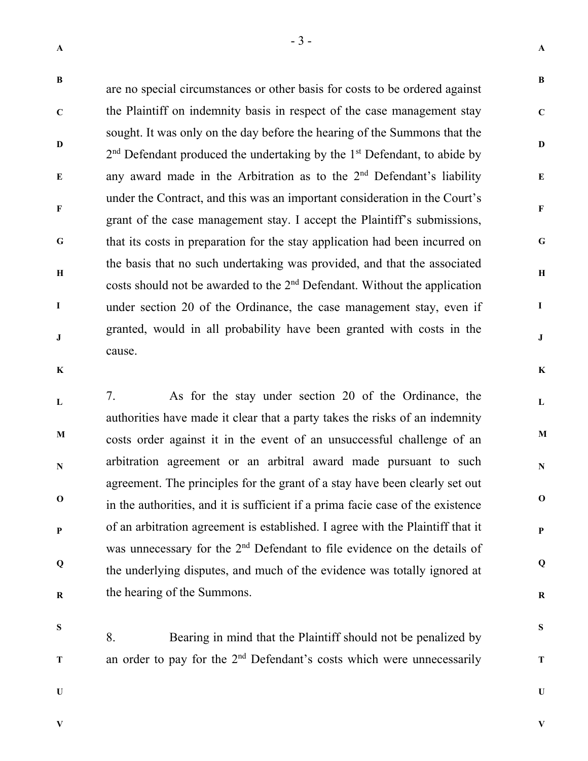**B** 

**C** 

**D** 

**E** 

**F** 

**G** 

**H** 

**I** 

**J** 

are no special circumstances or other basis for costs to be ordered against the Plaintiff on indemnity basis in respect of the case management stay sought. It was only on the day before the hearing of the Summons that the  $2<sup>nd</sup>$  Defendant produced the undertaking by the  $1<sup>st</sup>$  Defendant, to abide by any award made in the Arbitration as to the  $2<sup>nd</sup>$  Defendant's liability under the Contract, and this was an important consideration in the Court's grant of the case management stay. I accept the Plaintiff's submissions, that its costs in preparation for the stay application had been incurred on the basis that no such undertaking was provided, and that the associated costs should not be awarded to the 2nd Defendant. Without the application under section 20 of the Ordinance, the case management stay, even if granted, would in all probability have been granted with costs in the cause.

**K** 

**L M N O P Q R**  7. As for the stay under section 20 of the Ordinance, the authorities have made it clear that a party takes the risks of an indemnity costs order against it in the event of an unsuccessful challenge of an arbitration agreement or an arbitral award made pursuant to such agreement. The principles for the grant of a stay have been clearly set out in the authorities, and it is sufficient if a prima facie case of the existence of an arbitration agreement is established. I agree with the Plaintiff that it was unnecessary for the 2<sup>nd</sup> Defendant to file evidence on the details of the underlying disputes, and much of the evidence was totally ignored at the hearing of the Summons.

**S** 

**T** 

8. Bearing in mind that the Plaintiff should not be penalized by an order to pay for the 2<sup>nd</sup> Defendant's costs which were unnecessarily

**U** 

**V** 

**V** 

**A** 

**B** 

**C** 

**D** 

**E** 

**F** 

**G** 

**H** 

**I** 

**J** 

**K** 

**L** 

**M** 

**N** 

**O** 

**P** 

**Q** 

**R** 

**S** 

**T** 

**U**